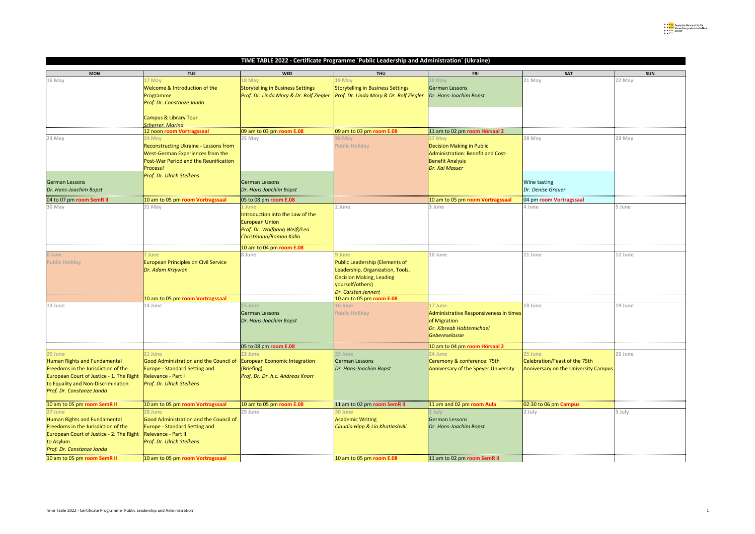| <b>MON</b>                                 | <b>TUE</b>                                   | <b>WED</b>                                         | <b>THU</b>                                         | <b>FRI</b>                             | <b>SAT</b>                                  | <b>SUN</b> |
|--------------------------------------------|----------------------------------------------|----------------------------------------------------|----------------------------------------------------|----------------------------------------|---------------------------------------------|------------|
| 16 May                                     | 17 May                                       | 18 May                                             | 19 May                                             | 20 May                                 | 21 May                                      | 22 May     |
|                                            |                                              |                                                    |                                                    |                                        |                                             |            |
|                                            | Welcome & Introduction of the                | Storytelling in Business Settings                  | Storytelling in Business Settings                  | German Lessons                         |                                             |            |
|                                            | Programme                                    | Prof. Dr. Linda Mory & Dr. Rolf Ziegler            | <b>Prof. Dr. Linda Mory &amp; Dr. Rolf Ziegler</b> | Dr. Hans-Joachim Bopst                 |                                             |            |
|                                            | Prof. Dr. Constanze Janda                    |                                                    |                                                    |                                        |                                             |            |
|                                            |                                              |                                                    |                                                    |                                        |                                             |            |
|                                            | Campus & Library Tour                        |                                                    |                                                    |                                        |                                             |            |
|                                            | <b>Scherrer, Marina</b>                      |                                                    |                                                    |                                        |                                             |            |
|                                            | 12 noon room Vortragssaal                    | 09 am to 03 pm room E.08                           | $\overline{)09}$ am to 03 pm room E.08             | 11 am to 02 pm room Hörsaal 2          |                                             |            |
|                                            |                                              |                                                    |                                                    |                                        |                                             |            |
| 23 May                                     | 24 May                                       | 25 May                                             | 26 May                                             | 27 May                                 | 28 May                                      | 29 May     |
|                                            | <b>Reconstructing Ukraine - Lessons from</b> |                                                    | <b>Public Holiday</b>                              | <b>Decision Making in Public</b>       |                                             |            |
|                                            | West-German Experiences from the             |                                                    |                                                    | Administration: Benefit and Cost-      |                                             |            |
|                                            | <b>Post-War Period and the Reunification</b> |                                                    |                                                    | <b>Benefit Analysis</b>                |                                             |            |
|                                            | Process?                                     |                                                    |                                                    | Dr. Kai Masser                         |                                             |            |
|                                            | <b>Prof. Dr. Ulrich Stelkens</b>             |                                                    |                                                    |                                        |                                             |            |
| <b>German Lessons</b>                      |                                              | German Lessons                                     |                                                    |                                        | <b>Wine tasting</b>                         |            |
| Dr. Hans-Joachim Bopst                     |                                              | Dr. Hans-Joachim Bopst                             |                                                    |                                        | Dr. Denise Grauer                           |            |
|                                            |                                              |                                                    |                                                    |                                        |                                             |            |
| 04 to 07 pm room SemR II                   | 10 am to 05 pm room Vortragssaal             | $ 05 \text{ to } 08 \text{ pm} \text{ room } E.08$ |                                                    | 10 am to 05 pm room Vortragssaal       | 04 pm room Vortragssaal                     |            |
| 30 May                                     | 31 May                                       | 1 June                                             | 2 June                                             | 3 June                                 | 4 June                                      | 5 June     |
|                                            |                                              | Introduction into the Law of the                   |                                                    |                                        |                                             |            |
|                                            |                                              | <b>European Union</b>                              |                                                    |                                        |                                             |            |
|                                            |                                              |                                                    |                                                    |                                        |                                             |            |
|                                            |                                              | Prof. Dr. Wolfgang Weiß/Lea                        |                                                    |                                        |                                             |            |
|                                            |                                              | Christmann/Roman Kalin                             |                                                    |                                        |                                             |            |
|                                            |                                              | 10 am to 04 pm room E.08                           |                                                    |                                        |                                             |            |
| 6 June                                     | June                                         | 8 June                                             | 9 June                                             | 10 June                                | 11 June                                     | 12 June    |
|                                            |                                              |                                                    |                                                    |                                        |                                             |            |
| <b>Public Holiday</b>                      | <b>European Principles on Civil Service</b>  |                                                    | Public Leadership (Elements of                     |                                        |                                             |            |
|                                            | Dr. Adam Krzywon                             |                                                    | Leadership, Organization, Tools,                   |                                        |                                             |            |
|                                            |                                              |                                                    | <b>Decision Making, Leading</b>                    |                                        |                                             |            |
|                                            |                                              |                                                    | yourself/others)                                   |                                        |                                             |            |
|                                            |                                              |                                                    | Dr. Carsten Jennert                                |                                        |                                             |            |
|                                            | 10 am to 05 pm room Vortragssaal             |                                                    | 10 am to 05 pm room E.08                           |                                        |                                             |            |
| 13 June                                    | 14 June                                      | 15 June                                            | 16 June                                            | 17 June                                | 18 June                                     | 19 June    |
|                                            |                                              | <b>German Lessons</b>                              | <b>Public Holiday</b>                              | Administrative Responsiveness in times |                                             |            |
|                                            |                                              |                                                    |                                                    |                                        |                                             |            |
|                                            |                                              | Dr. Hans-Joachim Bopst                             |                                                    | of Migration                           |                                             |            |
|                                            |                                              |                                                    |                                                    | Dr. Kibreab Habtemichael               |                                             |            |
|                                            |                                              |                                                    |                                                    | Gebereselassie                         |                                             |            |
|                                            |                                              | 05 to 08 pm room E.08                              |                                                    | 10 am to 04 pm room Hörsaal 2          |                                             |            |
| 20 June                                    | 21 June                                      | 22 June                                            | 23 June                                            | 24 June                                | 25 June                                     | 26 June    |
|                                            |                                              |                                                    |                                                    |                                        |                                             |            |
| <b>Human Rights and Fundamental</b>        | Good Administration and the Council of       | <b>European Economic Integration</b>               | German Lessons                                     | Ceremony & conference: 75th            | Celebration/Feast of the 75th               |            |
| Freedoms in the Jurisdiction of the        | <b>Europe - Standard Setting and</b>         | (Briefing)                                         | Dr. Hans-Joachim Bopst                             | Anniversary of the Speyer University   | <b>Anniversary on the University Campus</b> |            |
| European Court of Justice - 1. The Right   | Relevance - Part I                           | Prof. Dr. Dr. h.c. Andreas Knorr                   |                                                    |                                        |                                             |            |
| to Equality and Non-Discrimination         | <b>Prof. Dr. Ulrich Stelkens</b>             |                                                    |                                                    |                                        |                                             |            |
| <b>Prof. Dr. Constanze Janda</b>           |                                              |                                                    |                                                    |                                        |                                             |            |
|                                            |                                              |                                                    |                                                    |                                        |                                             |            |
| 10 am to 05 pm room SemR II                | 10 am to 05 pm room Vortragssaal             | 10 am to 05 pm room E.08                           | 11 am to 02 pm room SemR II                        | 11 am and 02 pm room Aula              | 02:30 to 06 pm Campus                       |            |
| 27 June                                    | 28 June                                      | 29 June                                            | <b>30 June</b>                                     |                                        | 2 July                                      | 3 July     |
|                                            |                                              |                                                    |                                                    |                                        |                                             |            |
| Human Rights and Fundamental               | Good Administration and the Council of       |                                                    | <b>Academic Writing</b>                            | German Lessons                         |                                             |            |
| <b>Freedoms in the Jurisdiction of the</b> | <b>Europe - Standard Setting and</b>         |                                                    | Claudia Hipp & Lia Khatiashvili                    | Dr. Hans-Joachim Bopst                 |                                             |            |
| European Court of Justice - 2. The Right   | Relevance - Part II                          |                                                    |                                                    |                                        |                                             |            |
| to Asylum                                  | Prof. Dr. Ulrich Stelkens                    |                                                    |                                                    |                                        |                                             |            |
| Prof. Dr. Constanze Janda                  |                                              |                                                    |                                                    |                                        |                                             |            |
| 10 am to 05 pm room SemR II                | 10 am to 05 pm room Vortragssaal             |                                                    | $10$ am to 05 pm room E.08                         | 11 am to 02 pm room SemR II            |                                             |            |
|                                            |                                              |                                                    |                                                    |                                        |                                             |            |

## **TIME TABLE 2022 - Certificate Programme `Public Leadership and Administration` (Ukraine)**